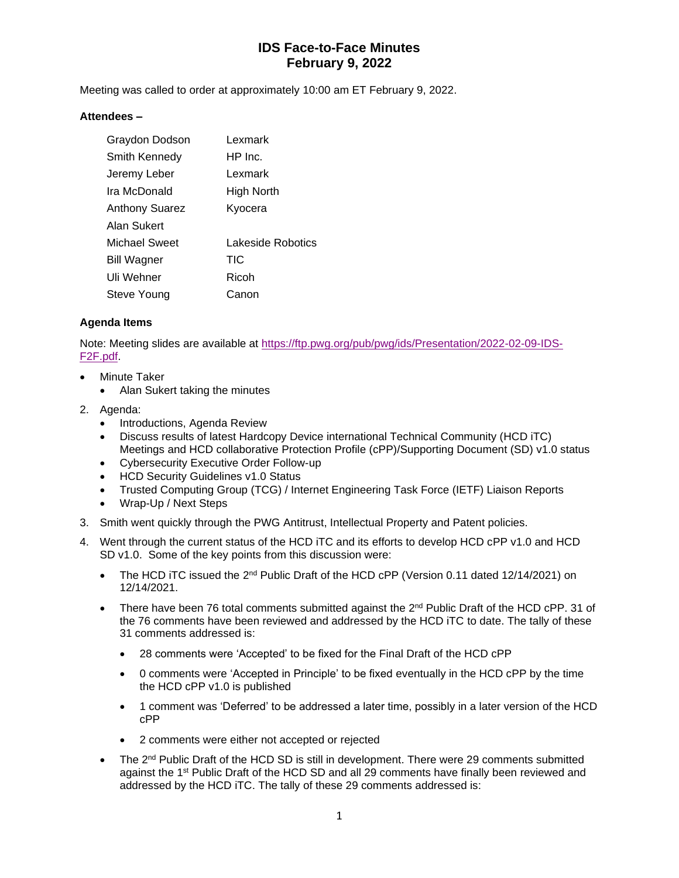Meeting was called to order at approximately 10:00 am ET February 9, 2022.

#### **Attendees –**

| Graydon Dodson        | Lexmark           |
|-----------------------|-------------------|
| Smith Kennedy         | HP Inc.           |
| Jeremy Leber          | Lexmark           |
| Ira McDonald          | High North        |
| <b>Anthony Suarez</b> | Kyocera           |
| Alan Sukert           |                   |
| Michael Sweet         | Lakeside Robotics |
| <b>Bill Wagner</b>    | TIC               |
| Uli Wehner            | Ricoh             |
| Steve Young           | Canon             |

#### **Agenda Items**

Note: Meeting slides are available at [https://ftp.pwg.org/pub/pwg/ids/Presentation/2022-02-09-IDS-](https://ftp.pwg.org/pub/pwg/ids/Presentation/2022-02-09-IDS-F2F.pdf)[F2F.pdf.](https://ftp.pwg.org/pub/pwg/ids/Presentation/2022-02-09-IDS-F2F.pdf)

- **Minute Taker** 
	- Alan Sukert taking the minutes
- 2. Agenda:
	- Introductions, Agenda Review
	- Discuss results of latest Hardcopy Device international Technical Community (HCD iTC) Meetings and HCD collaborative Protection Profile (cPP)/Supporting Document (SD) v1.0 status
	- Cybersecurity Executive Order Follow-up
	- HCD Security Guidelines v1.0 Status
	- Trusted Computing Group (TCG) / Internet Engineering Task Force (IETF) Liaison Reports
	- Wrap-Up / Next Steps
- 3. Smith went quickly through the PWG Antitrust, Intellectual Property and Patent policies.
- 4. Went through the current status of the HCD iTC and its efforts to develop HCD cPP v1.0 and HCD SD v1.0. Some of the key points from this discussion were:
	- The HCD iTC issued the  $2^{nd}$  Public Draft of the HCD cPP (Version 0.11 dated 12/14/2021) on 12/14/2021.
	- There have been 76 total comments submitted against the  $2<sup>nd</sup>$  Public Draft of the HCD cPP. 31 of the 76 comments have been reviewed and addressed by the HCD iTC to date. The tally of these 31 comments addressed is:
		- 28 comments were 'Accepted' to be fixed for the Final Draft of the HCD cPP
		- 0 comments were 'Accepted in Principle' to be fixed eventually in the HCD cPP by the time the HCD cPP v1.0 is published
		- 1 comment was 'Deferred' to be addressed a later time, possibly in a later version of the HCD cPP
		- 2 comments were either not accepted or rejected
	- The 2<sup>nd</sup> Public Draft of the HCD SD is still in development. There were 29 comments submitted against the 1<sup>st</sup> Public Draft of the HCD SD and all 29 comments have finally been reviewed and addressed by the HCD iTC. The tally of these 29 comments addressed is: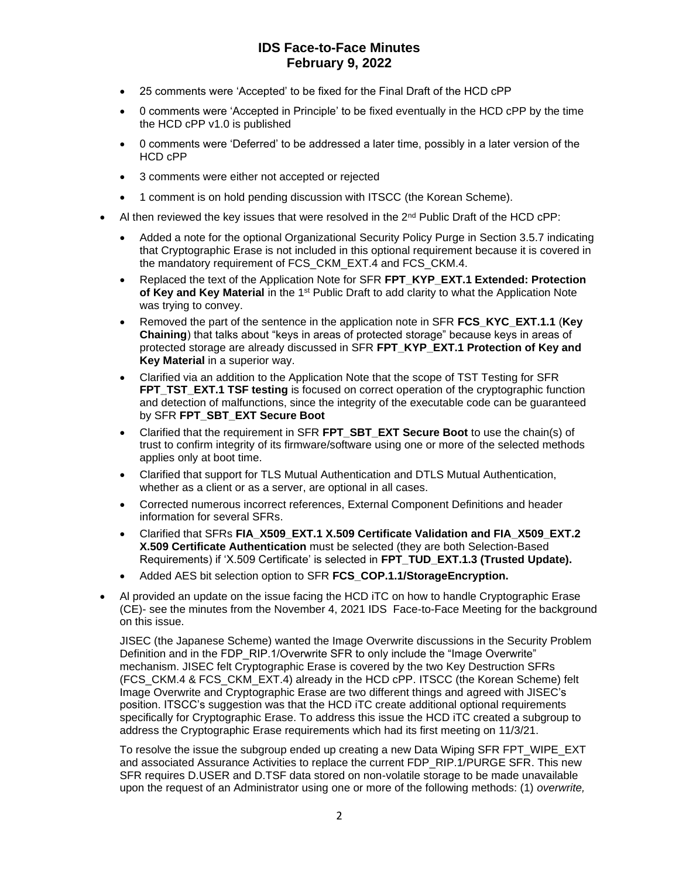- 25 comments were 'Accepted' to be fixed for the Final Draft of the HCD cPP
- 0 comments were 'Accepted in Principle' to be fixed eventually in the HCD cPP by the time the HCD cPP v1.0 is published
- 0 comments were 'Deferred' to be addressed a later time, possibly in a later version of the HCD cPP
- 3 comments were either not accepted or rejected
- 1 comment is on hold pending discussion with ITSCC (the Korean Scheme).
- Al then reviewed the key issues that were resolved in the  $2<sup>nd</sup>$  Public Draft of the HCD cPP:
	- Added a note for the optional Organizational Security Policy Purge in Section 3.5.7 indicating that Cryptographic Erase is not included in this optional requirement because it is covered in the mandatory requirement of FCS\_CKM\_EXT.4 and FCS\_CKM.4.
	- Replaced the text of the Application Note for SFR **FPT\_KYP\_EXT.1 Extended: Protection**  of Key and Key Material in the 1<sup>st</sup> Public Draft to add clarity to what the Application Note was trying to convey.
	- Removed the part of the sentence in the application note in SFR FCS KYC EXT.1.1 (Key **Chaining**) that talks about "keys in areas of protected storage" because keys in areas of protected storage are already discussed in SFR **FPT\_KYP\_EXT.1 Protection of Key and Key Material** in a superior way.
	- Clarified via an addition to the Application Note that the scope of TST Testing for SFR **FPT\_TST\_EXT.1 TSF testing** is focused on correct operation of the cryptographic function and detection of malfunctions, since the integrity of the executable code can be guaranteed by SFR **FPT\_SBT\_EXT Secure Boot**
	- Clarified that the requirement in SFR **FPT\_SBT\_EXT Secure Boot** to use the chain(s) of trust to confirm integrity of its firmware/software using one or more of the selected methods applies only at boot time.
	- Clarified that support for TLS Mutual Authentication and DTLS Mutual Authentication, whether as a client or as a server, are optional in all cases.
	- Corrected numerous incorrect references, External Component Definitions and header information for several SFRs.
	- Clarified that SFRs **FIA\_X509\_EXT.1 X.509 Certificate Validation and FIA\_X509\_EXT.2 X.509 Certificate Authentication** must be selected (they are both Selection-Based Requirements) if 'X.509 Certificate' is selected in **FPT\_TUD\_EXT.1.3 (Trusted Update).**
	- Added AES bit selection option to SFR **FCS\_COP.1.1/StorageEncryption.**
- Al provided an update on the issue facing the HCD iTC on how to handle Cryptographic Erase (CE)- see the minutes from the November 4, 2021 IDS Face-to-Face Meeting for the background on this issue.

JISEC (the Japanese Scheme) wanted the Image Overwrite discussions in the Security Problem Definition and in the FDP\_RIP.1/Overwrite SFR to only include the "Image Overwrite" mechanism. JISEC felt Cryptographic Erase is covered by the two Key Destruction SFRs (FCS\_CKM.4 & FCS\_CKM\_EXT.4) already in the HCD cPP. ITSCC (the Korean Scheme) felt Image Overwrite and Cryptographic Erase are two different things and agreed with JISEC's position. ITSCC's suggestion was that the HCD iTC create additional optional requirements specifically for Cryptographic Erase. To address this issue the HCD iTC created a subgroup to address the Cryptographic Erase requirements which had its first meeting on 11/3/21.

To resolve the issue the subgroup ended up creating a new Data Wiping SFR FPT\_WIPE\_EXT and associated Assurance Activities to replace the current FDP\_RIP.1/PURGE SFR. This new SFR requires D.USER and D.TSF data stored on non-volatile storage to be made unavailable upon the request of an Administrator using one or more of the following methods: (1) *overwrite,*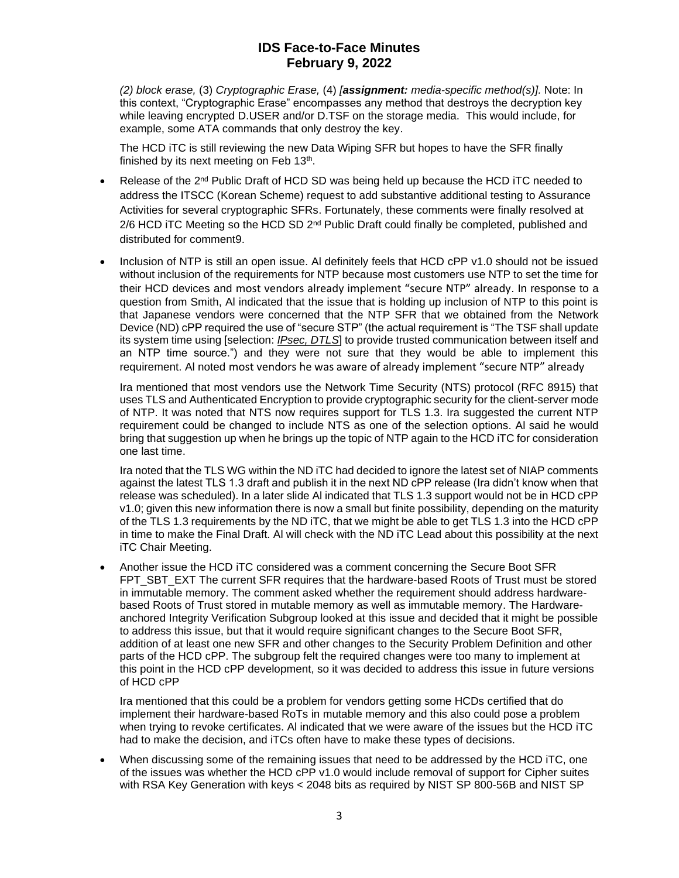*(2) block erase,* (3) *Cryptographic Erase,* (4) *[assignment: media-specific method(s)].* Note: In this context, "Cryptographic Erase" encompasses any method that destroys the decryption key while leaving encrypted D.USER and/or D.TSF on the storage media. This would include, for example, some ATA commands that only destroy the key.

The HCD iTC is still reviewing the new Data Wiping SFR but hopes to have the SFR finally finished by its next meeting on Feb 13<sup>th</sup>.

- Release of the  $2<sup>nd</sup>$  Public Draft of HCD SD was being held up because the HCD iTC needed to address the ITSCC (Korean Scheme) request to add substantive additional testing to Assurance Activities for several cryptographic SFRs. Fortunately, these comments were finally resolved at 2/6 HCD iTC Meeting so the HCD SD 2<sup>nd</sup> Public Draft could finally be completed, published and distributed for comment9.
- Inclusion of NTP is still an open issue. Al definitely feels that HCD cPP v1.0 should not be issued without inclusion of the requirements for NTP because most customers use NTP to set the time for their HCD devices and most vendors already implement "secure NTP" already. In response to a question from Smith, Al indicated that the issue that is holding up inclusion of NTP to this point is that Japanese vendors were concerned that the NTP SFR that we obtained from the Network Device (ND) cPP required the use of "secure STP" (the actual requirement is "The TSF shall update its system time using [selection: *IPsec, DTLS*] to provide trusted communication between itself and an NTP time source.") and they were not sure that they would be able to implement this requirement. Al noted most vendors he was aware of already implement "secure NTP" already

Ira mentioned that most vendors use the Network Time Security (NTS) protocol (RFC 8915) that uses TLS and Authenticated Encryption to provide cryptographic security for the client-server mode of NTP. It was noted that NTS now requires support for TLS 1.3. Ira suggested the current NTP requirement could be changed to include NTS as one of the selection options. Al said he would bring that suggestion up when he brings up the topic of NTP again to the HCD iTC for consideration one last time.

Ira noted that the TLS WG within the ND iTC had decided to ignore the latest set of NIAP comments against the latest TLS 1.3 draft and publish it in the next ND cPP release (Ira didn't know when that release was scheduled). In a later slide Al indicated that TLS 1.3 support would not be in HCD cPP v1.0; given this new information there is now a small but finite possibility, depending on the maturity of the TLS 1.3 requirements by the ND iTC, that we might be able to get TLS 1.3 into the HCD cPP in time to make the Final Draft. Al will check with the ND iTC Lead about this possibility at the next iTC Chair Meeting.

• Another issue the HCD iTC considered was a comment concerning the Secure Boot SFR FPT\_SBT\_EXT\_The current SFR requires that the hardware-based Roots of Trust must be stored in immutable memory. The comment asked whether the requirement should address hardwarebased Roots of Trust stored in mutable memory as well as immutable memory. The Hardwareanchored Integrity Verification Subgroup looked at this issue and decided that it might be possible to address this issue, but that it would require significant changes to the Secure Boot SFR, addition of at least one new SFR and other changes to the Security Problem Definition and other parts of the HCD cPP. The subgroup felt the required changes were too many to implement at this point in the HCD cPP development, so it was decided to address this issue in future versions of HCD cPP

Ira mentioned that this could be a problem for vendors getting some HCDs certified that do implement their hardware-based RoTs in mutable memory and this also could pose a problem when trying to revoke certificates. Al indicated that we were aware of the issues but the HCD iTC had to make the decision, and iTCs often have to make these types of decisions.

• When discussing some of the remaining issues that need to be addressed by the HCD iTC, one of the issues was whether the HCD cPP v1.0 would include removal of support for Cipher suites with RSA Key Generation with keys < 2048 bits as required by NIST SP 800-56B and NIST SP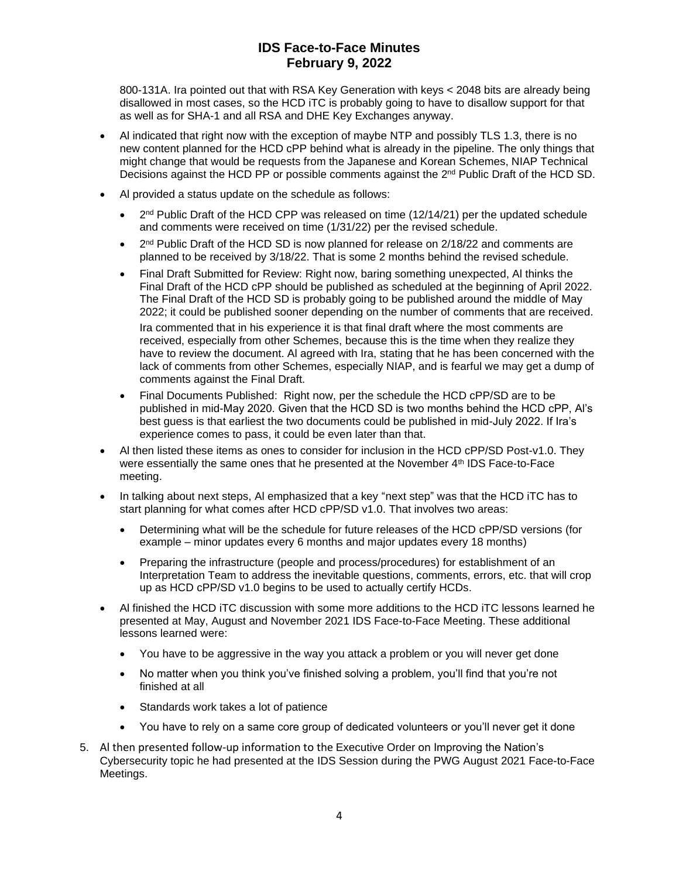800-131A. Ira pointed out that with RSA Key Generation with keys < 2048 bits are already being disallowed in most cases, so the HCD iTC is probably going to have to disallow support for that as well as for SHA-1 and all RSA and DHE Key Exchanges anyway.

- Al indicated that right now with the exception of maybe NTP and possibly TLS 1.3, there is no new content planned for the HCD cPP behind what is already in the pipeline. The only things that might change that would be requests from the Japanese and Korean Schemes, NIAP Technical Decisions against the HCD PP or possible comments against the 2<sup>nd</sup> Public Draft of the HCD SD.
- Al provided a status update on the schedule as follows:
	- $2<sup>nd</sup>$  Public Draft of the HCD CPP was released on time (12/14/21) per the updated schedule and comments were received on time (1/31/22) per the revised schedule.
	- $2<sup>nd</sup>$  Public Draft of the HCD SD is now planned for release on 2/18/22 and comments are planned to be received by 3/18/22. That is some 2 months behind the revised schedule.
	- Final Draft Submitted for Review: Right now, baring something unexpected, Al thinks the Final Draft of the HCD cPP should be published as scheduled at the beginning of April 2022. The Final Draft of the HCD SD is probably going to be published around the middle of May 2022; it could be published sooner depending on the number of comments that are received. Ira commented that in his experience it is that final draft where the most comments are received, especially from other Schemes, because this is the time when they realize they have to review the document. Al agreed with Ira, stating that he has been concerned with the lack of comments from other Schemes, especially NIAP, and is fearful we may get a dump of comments against the Final Draft.
	- Final Documents Published: Right now, per the schedule the HCD cPP/SD are to be published in mid-May 2020. Given that the HCD SD is two months behind the HCD cPP, Al's best guess is that earliest the two documents could be published in mid-July 2022. If Ira's experience comes to pass, it could be even later than that.
- Al then listed these items as ones to consider for inclusion in the HCD cPP/SD Post-v1.0. They were essentially the same ones that he presented at the November 4<sup>th</sup> IDS Face-to-Face meeting.
- In talking about next steps, Al emphasized that a key "next step" was that the HCD iTC has to start planning for what comes after HCD cPP/SD v1.0. That involves two areas:
	- Determining what will be the schedule for future releases of the HCD cPP/SD versions (for example – minor updates every 6 months and major updates every 18 months)
	- Preparing the infrastructure (people and process/procedures) for establishment of an Interpretation Team to address the inevitable questions, comments, errors, etc. that will crop up as HCD cPP/SD v1.0 begins to be used to actually certify HCDs.
- Al finished the HCD iTC discussion with some more additions to the HCD iTC lessons learned he presented at May, August and November 2021 IDS Face-to-Face Meeting. These additional lessons learned were:
	- You have to be aggressive in the way you attack a problem or you will never get done
	- No matter when you think you've finished solving a problem, you'll find that you're not finished at all
	- Standards work takes a lot of patience
	- You have to rely on a same core group of dedicated volunteers or you'll never get it done
- 5. Al then presented follow-up information to the Executive Order on Improving the Nation's Cybersecurity topic he had presented at the IDS Session during the PWG August 2021 Face-to-Face Meetings.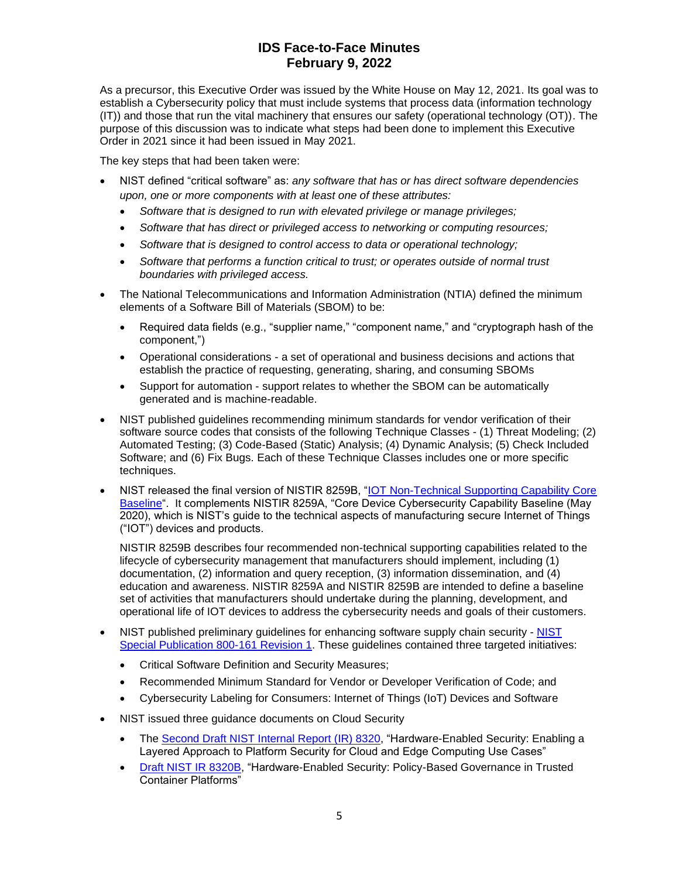As a precursor, this Executive Order was issued by the White House on May 12, 2021. Its goal was to establish a Cybersecurity policy that must include systems that process data (information technology (IT)) and those that run the vital machinery that ensures our safety (operational technology (OT)). The purpose of this discussion was to indicate what steps had been done to implement this Executive Order in 2021 since it had been issued in May 2021.

The key steps that had been taken were:

- NIST defined "critical software" as: *any software that has or has direct software dependencies upon, one or more components with at least one of these attributes:* 
	- *Software that is designed to run with elevated privilege or manage privileges;*
	- *Software that has direct or privileged access to networking or computing resources;*
	- *Software that is designed to control access to data or operational technology;*
	- *Software that performs a function critical to trust; or operates outside of normal trust boundaries with privileged access.*
- The National Telecommunications and Information Administration (NTIA) defined the minimum elements of a Software Bill of Materials (SBOM) to be:
	- Required data fields (e.g., "supplier name," "component name," and "cryptograph hash of the component,")
	- Operational considerations a set of operational and business decisions and actions that establish the practice of requesting, generating, sharing, and consuming SBOMs
	- Support for automation support relates to whether the SBOM can be automatically generated and is machine-readable.
- NIST published guidelines recommending minimum standards for vendor verification of their software source codes that consists of the following Technique Classes - (1) Threat Modeling; (2) Automated Testing; (3) Code-Based (Static) Analysis; (4) Dynamic Analysis; (5) Check Included Software; and (6) Fix Bugs. Each of these Technique Classes includes one or more specific techniques.
- NIST released the final version of NISTIR 8259B, ["IOT Non-Technical Supporting Capability Core](https://nvlpubs.nist.gov/nistpubs/ir/2021/NIST.IR.8259B.pdf)  [Baseline"](https://nvlpubs.nist.gov/nistpubs/ir/2021/NIST.IR.8259B.pdf). It complements NISTIR 8259A, "Core Device Cybersecurity Capability Baseline (May 2020), which is NIST's guide to the technical aspects of manufacturing secure Internet of Things ("IOT") devices and products.

NISTIR 8259B describes four recommended non-technical supporting capabilities related to the lifecycle of cybersecurity management that manufacturers should implement, including (1) documentation, (2) information and query reception, (3) information dissemination, and (4) education and awareness. NISTIR 8259A and NISTIR 8259B are intended to define a baseline set of activities that manufacturers should undertake during the planning, development, and operational life of IOT devices to address the cybersecurity needs and goals of their customers.

- [NIST](https://nvlpubs.nist.gov/nistpubs/SpecialPublications/NIST.SP.800-161r1-draft2.pdf) published preliminary guidelines for enhancing software supply chain security NIST [Special Publication 800-161 Revision 1.](https://nvlpubs.nist.gov/nistpubs/SpecialPublications/NIST.SP.800-161r1-draft2.pdf) These guidelines contained three targeted initiatives:
	- Critical Software Definition and Security Measures;
	- Recommended Minimum Standard for Vendor or Developer Verification of Code; and
	- Cybersecurity Labeling for Consumers: Internet of Things (IoT) Devices and Software
- NIST issued three guidance documents on Cloud Security
	- The [Second Draft NIST Internal Report \(IR\) 8320,](https://nvlpubs.nist.gov/nistpubs/ir/2021/NIST.IR.8320-draft2.pdf) "Hardware-Enabled Security: Enabling a Layered Approach to Platform Security for Cloud and Edge Computing Use Cases"
	- [Draft NIST IR 8320B,](https://nvlpubs.nist.gov/nistpubs/ir/2021/NIST.IR.8320B-draft.pdf) "Hardware-Enabled Security: Policy-Based Governance in Trusted Container Platforms"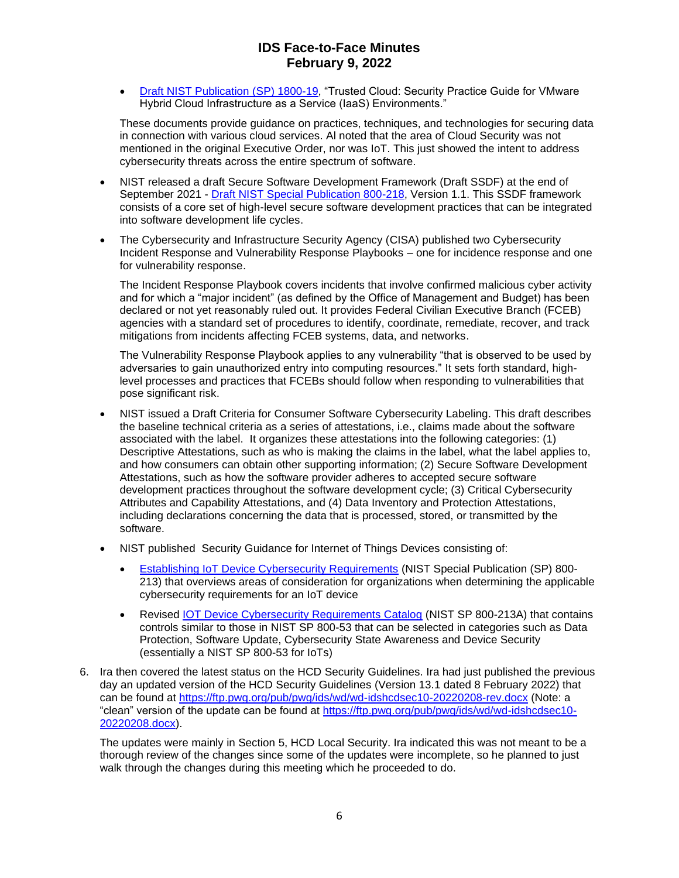• [Draft NIST Publication \(SP\) 1800-19,](https://www.nccoe.nist.gov/sites/default/files/library/sp1800/tc-nist-sp1800-19-draft2.pdf) "Trusted Cloud: Security Practice Guide for VMware Hybrid Cloud Infrastructure as a Service (IaaS) Environments."

These documents provide guidance on practices, techniques, and technologies for securing data in connection with various cloud services. Al noted that the area of Cloud Security was not mentioned in the original Executive Order, nor was IoT. This just showed the intent to address cybersecurity threats across the entire spectrum of software.

- NIST released a draft Secure Software Development Framework (Draft SSDF) at the end of September 2021 - [Draft NIST Special Publication 800-218,](https://nvlpubs.nist.gov/nistpubs/SpecialPublications/NIST.SP.800-218-draft.pdf) Version 1.1. This SSDF framework consists of a core set of high-level secure software development practices that can be integrated into software development life cycles.
- The Cybersecurity and Infrastructure Security Agency (CISA) published two Cybersecurity Incident Response and Vulnerability Response Playbooks – one for incidence response and one for vulnerability response.

The Incident Response Playbook covers incidents that involve confirmed malicious cyber activity and for which a "major incident" (as defined by the Office of Management and Budget) has been declared or not yet reasonably ruled out. It provides Federal Civilian Executive Branch (FCEB) agencies with a standard set of procedures to identify, coordinate, remediate, recover, and track mitigations from incidents affecting FCEB systems, data, and networks.

The Vulnerability Response Playbook applies to any vulnerability "that is observed to be used by adversaries to gain unauthorized entry into computing resources." It sets forth standard, highlevel processes and practices that FCEBs should follow when responding to vulnerabilities that pose significant risk.

- NIST issued a Draft Criteria for Consumer Software Cybersecurity Labeling. This draft describes the baseline technical criteria as a series of attestations, i.e., claims made about the software associated with the label. It organizes these attestations into the following categories: (1) Descriptive Attestations, such as who is making the claims in the label, what the label applies to, and how consumers can obtain other supporting information; (2) Secure Software Development Attestations, such as how the software provider adheres to accepted secure software development practices throughout the software development cycle; (3) Critical Cybersecurity Attributes and Capability Attestations, and (4) Data Inventory and Protection Attestations, including declarations concerning the data that is processed, stored, or transmitted by the software.
- NIST published Security Guidance for Internet of Things Devices consisting of:
	- [Establishing IoT Device Cybersecurity Requirements](https://nvlpubs.nist.gov/nistpubs/SpecialPublications/NIST.SP.800-213.pdf) (NIST Special Publication (SP) 800-213) that overviews areas of consideration for organizations when determining the applicable cybersecurity requirements for an IoT device
	- Revised [IOT Device Cybersecurity Requirements Catalog](https://nvlpubs.nist.gov/nistpubs/SpecialPublications/NIST.SP.800-213A.pdf) (NIST SP 800-213A) that contains controls similar to those in NIST SP 800-53 that can be selected in categories such as Data Protection, Software Update, Cybersecurity State Awareness and Device Security (essentially a NIST SP 800-53 for IoTs)
- 6. Ira then covered the latest status on the HCD Security Guidelines. Ira had just published the previous day an updated version of the HCD Security Guidelines (Version 13.1 dated 8 February 2022) that can be found at <https://ftp.pwg.org/pub/pwg/ids/wd/wd-idshcdsec10-20220208-rev.docx> (Note: a "clean" version of the update can be found at [https://ftp.pwg.org/pub/pwg/ids/wd/wd-idshcdsec10-](https://ftp.pwg.org/pub/pwg/ids/wd/wd-idshcdsec10-20220208.docx) [20220208.docx\)](https://ftp.pwg.org/pub/pwg/ids/wd/wd-idshcdsec10-20220208.docx).

The updates were mainly in Section 5, HCD Local Security. Ira indicated this was not meant to be a thorough review of the changes since some of the updates were incomplete, so he planned to just walk through the changes during this meeting which he proceeded to do.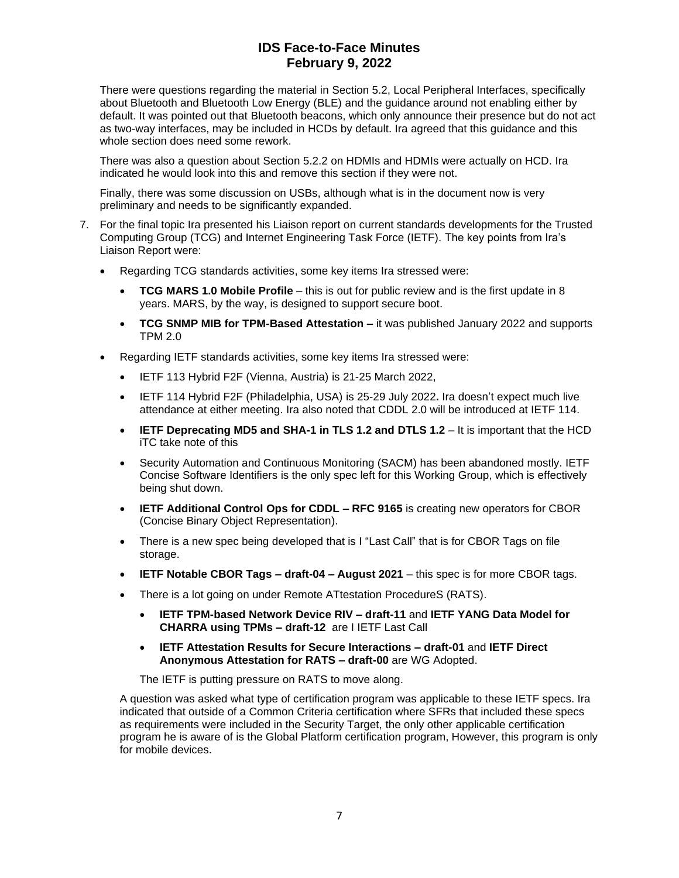There were questions regarding the material in Section 5.2, Local Peripheral Interfaces, specifically about Bluetooth and Bluetooth Low Energy (BLE) and the guidance around not enabling either by default. It was pointed out that Bluetooth beacons, which only announce their presence but do not act as two-way interfaces, may be included in HCDs by default. Ira agreed that this guidance and this whole section does need some rework.

There was also a question about Section 5.2.2 on HDMIs and HDMIs were actually on HCD. Ira indicated he would look into this and remove this section if they were not.

Finally, there was some discussion on USBs, although what is in the document now is very preliminary and needs to be significantly expanded.

- 7. For the final topic Ira presented his Liaison report on current standards developments for the Trusted Computing Group (TCG) and Internet Engineering Task Force (IETF). The key points from Ira's Liaison Report were:
	- Regarding TCG standards activities, some key items Ira stressed were:
		- **TCG MARS 1.0 Mobile Profile** this is out for public review and is the first update in 8 years. MARS, by the way, is designed to support secure boot.
		- **TCG SNMP MIB for TPM-Based Attestation –** it was published January 2022 and supports TPM 2.0
	- Regarding IETF standards activities, some key items Ira stressed were:
		- IETF 113 Hybrid F2F (Vienna, Austria) is 21-25 March 2022,
		- IETF 114 Hybrid F2F (Philadelphia, USA) is 25-29 July 2022**.** Ira doesn't expect much live attendance at either meeting. Ira also noted that CDDL 2.0 will be introduced at IETF 114.
		- **IETF Deprecating MD5 and SHA-1 in TLS 1.2 and DTLS 1.2**  It is important that the HCD iTC take note of this
		- Security Automation and Continuous Monitoring (SACM) has been abandoned mostly. IETF Concise Software Identifiers is the only spec left for this Working Group, which is effectively being shut down.
		- **IETF Additional Control Ops for CDDL – RFC 9165** is creating new operators for CBOR (Concise Binary Object Representation).
		- There is a new spec being developed that is I "Last Call" that is for CBOR Tags on file storage.
		- **IETF Notable CBOR Tags – draft-04 – August 2021** this spec is for more CBOR tags.
		- There is a lot going on under Remote ATtestation ProcedureS (RATS).
			- **IETF TPM-based Network Device RIV – draft-11** and **IETF YANG Data Model for CHARRA using TPMs – draft-12** are I IETF Last Call
			- **IETF Attestation Results for Secure Interactions – draft-01** and **IETF Direct Anonymous Attestation for RATS – draft-00** are WG Adopted.

The IETF is putting pressure on RATS to move along.

A question was asked what type of certification program was applicable to these IETF specs. Ira indicated that outside of a Common Criteria certification where SFRs that included these specs as requirements were included in the Security Target, the only other applicable certification program he is aware of is the Global Platform certification program, However, this program is only for mobile devices.